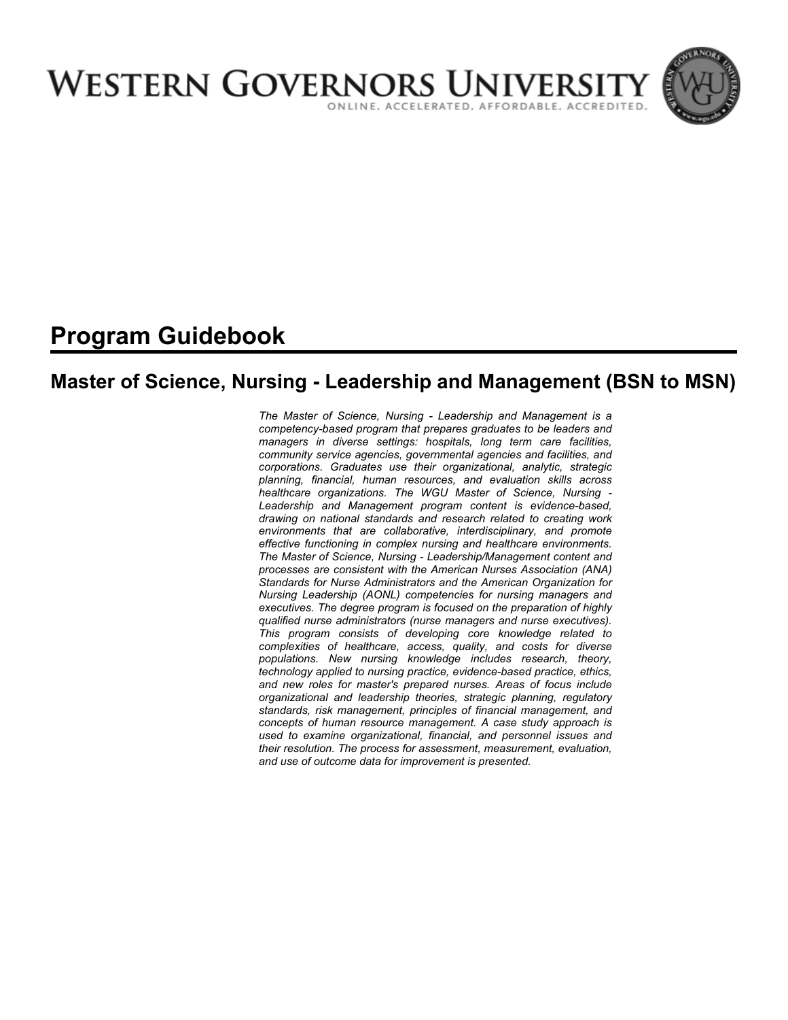

# **Program Guidebook**

# **Master of Science, Nursing - Leadership and Management (BSN to MSN)**

*The Master of Science, Nursing - Leadership and Management is a competency-based program that prepares graduates to be leaders and managers in diverse settings: hospitals, long term care facilities, community service agencies, governmental agencies and facilities, and corporations. Graduates use their organizational, analytic, strategic planning, financial, human resources, and evaluation skills across healthcare organizations. The WGU Master of Science, Nursing - Leadership and Management program content is evidence-based, drawing on national standards and research related to creating work environments that are collaborative, interdisciplinary, and promote effective functioning in complex nursing and healthcare environments. The Master of Science, Nursing - Leadership/Management content and processes are consistent with the American Nurses Association (ANA) Standards for Nurse Administrators and the American Organization for Nursing Leadership (AONL) competencies for nursing managers and executives. The degree program is focused on the preparation of highly qualified nurse administrators (nurse managers and nurse executives). This program consists of developing core knowledge related to complexities of healthcare, access, quality, and costs for diverse populations. New nursing knowledge includes research, theory, technology applied to nursing practice, evidence-based practice, ethics, and new roles for master's prepared nurses. Areas of focus include organizational and leadership theories, strategic planning, regulatory standards, risk management, principles of financial management, and concepts of human resource management. A case study approach is used to examine organizational, financial, and personnel issues and their resolution. The process for assessment, measurement, evaluation, and use of outcome data for improvement is presented.*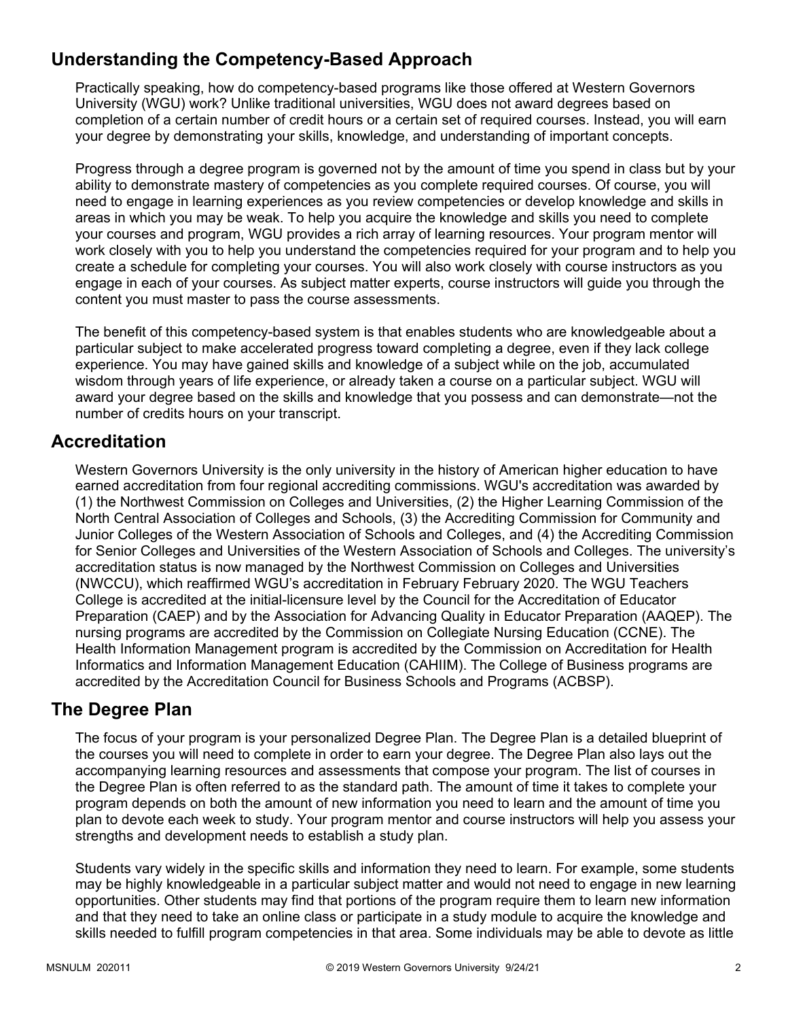# **Understanding the Competency-Based Approach**

Practically speaking, how do competency-based programs like those offered at Western Governors University (WGU) work? Unlike traditional universities, WGU does not award degrees based on completion of a certain number of credit hours or a certain set of required courses. Instead, you will earn your degree by demonstrating your skills, knowledge, and understanding of important concepts.

Progress through a degree program is governed not by the amount of time you spend in class but by your ability to demonstrate mastery of competencies as you complete required courses. Of course, you will need to engage in learning experiences as you review competencies or develop knowledge and skills in areas in which you may be weak. To help you acquire the knowledge and skills you need to complete your courses and program, WGU provides a rich array of learning resources. Your program mentor will work closely with you to help you understand the competencies required for your program and to help you create a schedule for completing your courses. You will also work closely with course instructors as you engage in each of your courses. As subject matter experts, course instructors will guide you through the content you must master to pass the course assessments.

The benefit of this competency-based system is that enables students who are knowledgeable about a particular subject to make accelerated progress toward completing a degree, even if they lack college experience. You may have gained skills and knowledge of a subject while on the job, accumulated wisdom through years of life experience, or already taken a course on a particular subject. WGU will award your degree based on the skills and knowledge that you possess and can demonstrate—not the number of credits hours on your transcript.

## **Accreditation**

Western Governors University is the only university in the history of American higher education to have earned accreditation from four regional accrediting commissions. WGU's accreditation was awarded by (1) the Northwest Commission on Colleges and Universities, (2) the Higher Learning Commission of the North Central Association of Colleges and Schools, (3) the Accrediting Commission for Community and Junior Colleges of the Western Association of Schools and Colleges, and (4) the Accrediting Commission for Senior Colleges and Universities of the Western Association of Schools and Colleges. The university's accreditation status is now managed by the Northwest Commission on Colleges and Universities (NWCCU), which reaffirmed WGU's accreditation in February February 2020. The WGU Teachers College is accredited at the initial-licensure level by the Council for the Accreditation of Educator Preparation (CAEP) and by the Association for Advancing Quality in Educator Preparation (AAQEP). The nursing programs are accredited by the Commission on Collegiate Nursing Education (CCNE). The Health Information Management program is accredited by the Commission on Accreditation for Health Informatics and Information Management Education (CAHIIM). The College of Business programs are accredited by the Accreditation Council for Business Schools and Programs (ACBSP).

### **The Degree Plan**

The focus of your program is your personalized Degree Plan. The Degree Plan is a detailed blueprint of the courses you will need to complete in order to earn your degree. The Degree Plan also lays out the accompanying learning resources and assessments that compose your program. The list of courses in the Degree Plan is often referred to as the standard path. The amount of time it takes to complete your program depends on both the amount of new information you need to learn and the amount of time you plan to devote each week to study. Your program mentor and course instructors will help you assess your strengths and development needs to establish a study plan.

Students vary widely in the specific skills and information they need to learn. For example, some students may be highly knowledgeable in a particular subject matter and would not need to engage in new learning opportunities. Other students may find that portions of the program require them to learn new information and that they need to take an online class or participate in a study module to acquire the knowledge and skills needed to fulfill program competencies in that area. Some individuals may be able to devote as little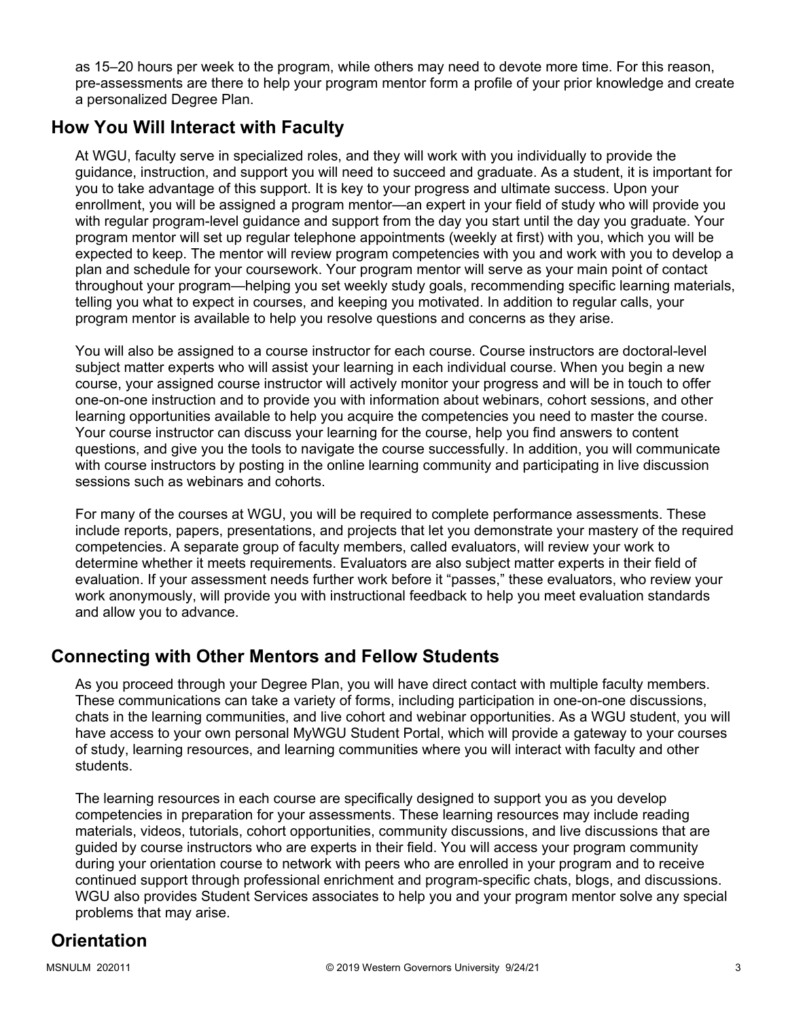as 15–20 hours per week to the program, while others may need to devote more time. For this reason, pre-assessments are there to help your program mentor form a profile of your prior knowledge and create a personalized Degree Plan.

# **How You Will Interact with Faculty**

At WGU, faculty serve in specialized roles, and they will work with you individually to provide the guidance, instruction, and support you will need to succeed and graduate. As a student, it is important for you to take advantage of this support. It is key to your progress and ultimate success. Upon your enrollment, you will be assigned a program mentor—an expert in your field of study who will provide you with regular program-level guidance and support from the day you start until the day you graduate. Your program mentor will set up regular telephone appointments (weekly at first) with you, which you will be expected to keep. The mentor will review program competencies with you and work with you to develop a plan and schedule for your coursework. Your program mentor will serve as your main point of contact throughout your program—helping you set weekly study goals, recommending specific learning materials, telling you what to expect in courses, and keeping you motivated. In addition to regular calls, your program mentor is available to help you resolve questions and concerns as they arise.

You will also be assigned to a course instructor for each course. Course instructors are doctoral-level subject matter experts who will assist your learning in each individual course. When you begin a new course, your assigned course instructor will actively monitor your progress and will be in touch to offer one-on-one instruction and to provide you with information about webinars, cohort sessions, and other learning opportunities available to help you acquire the competencies you need to master the course. Your course instructor can discuss your learning for the course, help you find answers to content questions, and give you the tools to navigate the course successfully. In addition, you will communicate with course instructors by posting in the online learning community and participating in live discussion sessions such as webinars and cohorts.

For many of the courses at WGU, you will be required to complete performance assessments. These include reports, papers, presentations, and projects that let you demonstrate your mastery of the required competencies. A separate group of faculty members, called evaluators, will review your work to determine whether it meets requirements. Evaluators are also subject matter experts in their field of evaluation. If your assessment needs further work before it "passes," these evaluators, who review your work anonymously, will provide you with instructional feedback to help you meet evaluation standards and allow you to advance.

# **Connecting with Other Mentors and Fellow Students**

As you proceed through your Degree Plan, you will have direct contact with multiple faculty members. These communications can take a variety of forms, including participation in one-on-one discussions, chats in the learning communities, and live cohort and webinar opportunities. As a WGU student, you will have access to your own personal MyWGU Student Portal, which will provide a gateway to your courses of study, learning resources, and learning communities where you will interact with faculty and other students.

The learning resources in each course are specifically designed to support you as you develop competencies in preparation for your assessments. These learning resources may include reading materials, videos, tutorials, cohort opportunities, community discussions, and live discussions that are guided by course instructors who are experts in their field. You will access your program community during your orientation course to network with peers who are enrolled in your program and to receive continued support through professional enrichment and program-specific chats, blogs, and discussions. WGU also provides Student Services associates to help you and your program mentor solve any special problems that may arise.

# **Orientation**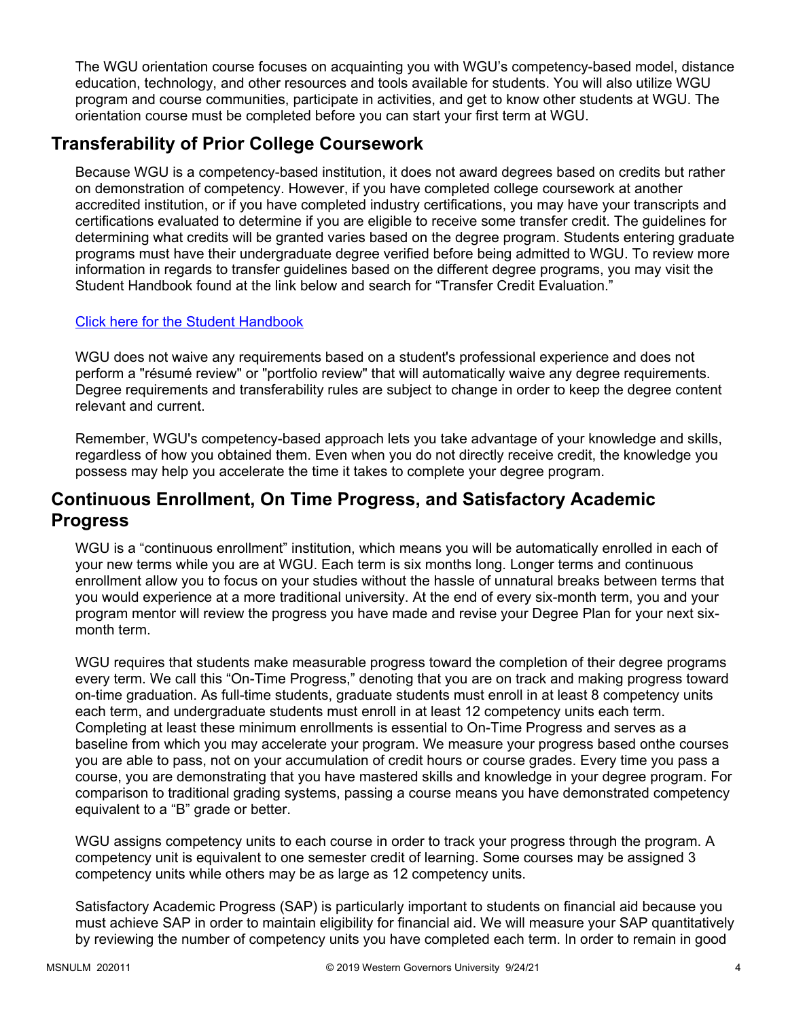The WGU orientation course focuses on acquainting you with WGU's competency-based model, distance education, technology, and other resources and tools available for students. You will also utilize WGU program and course communities, participate in activities, and get to know other students at WGU. The orientation course must be completed before you can start your first term at WGU.

# **Transferability of Prior College Coursework**

Because WGU is a competency-based institution, it does not award degrees based on credits but rather on demonstration of competency. However, if you have completed college coursework at another accredited institution, or if you have completed industry certifications, you may have your transcripts and certifications evaluated to determine if you are eligible to receive some transfer credit. The guidelines for determining what credits will be granted varies based on the degree program. Students entering graduate programs must have their undergraduate degree verified before being admitted to WGU. To review more information in regards to transfer guidelines based on the different degree programs, you may visit the Student Handbook found at the link below and search for "Transfer Credit Evaluation."

### [Click here for the Student Handbook](http://cm.wgu.edu/)

WGU does not waive any requirements based on a student's professional experience and does not perform a "résumé review" or "portfolio review" that will automatically waive any degree requirements. Degree requirements and transferability rules are subject to change in order to keep the degree content relevant and current.

Remember, WGU's competency-based approach lets you take advantage of your knowledge and skills, regardless of how you obtained them. Even when you do not directly receive credit, the knowledge you possess may help you accelerate the time it takes to complete your degree program.

## **Continuous Enrollment, On Time Progress, and Satisfactory Academic Progress**

WGU is a "continuous enrollment" institution, which means you will be automatically enrolled in each of your new terms while you are at WGU. Each term is six months long. Longer terms and continuous enrollment allow you to focus on your studies without the hassle of unnatural breaks between terms that you would experience at a more traditional university. At the end of every six-month term, you and your program mentor will review the progress you have made and revise your Degree Plan for your next sixmonth term.

WGU requires that students make measurable progress toward the completion of their degree programs every term. We call this "On-Time Progress," denoting that you are on track and making progress toward on-time graduation. As full-time students, graduate students must enroll in at least 8 competency units each term, and undergraduate students must enroll in at least 12 competency units each term. Completing at least these minimum enrollments is essential to On-Time Progress and serves as a baseline from which you may accelerate your program. We measure your progress based onthe courses you are able to pass, not on your accumulation of credit hours or course grades. Every time you pass a course, you are demonstrating that you have mastered skills and knowledge in your degree program. For comparison to traditional grading systems, passing a course means you have demonstrated competency equivalent to a "B" grade or better.

WGU assigns competency units to each course in order to track your progress through the program. A competency unit is equivalent to one semester credit of learning. Some courses may be assigned 3 competency units while others may be as large as 12 competency units.

Satisfactory Academic Progress (SAP) is particularly important to students on financial aid because you must achieve SAP in order to maintain eligibility for financial aid. We will measure your SAP quantitatively by reviewing the number of competency units you have completed each term. In order to remain in good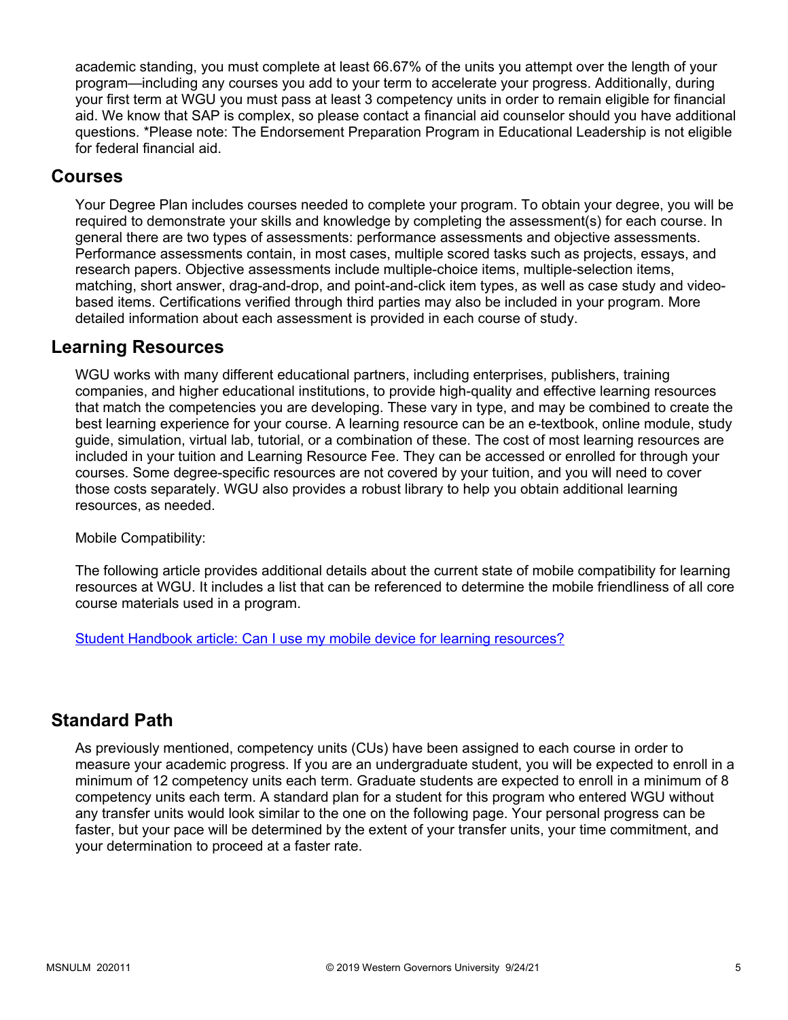academic standing, you must complete at least 66.67% of the units you attempt over the length of your program—including any courses you add to your term to accelerate your progress. Additionally, during your first term at WGU you must pass at least 3 competency units in order to remain eligible for financial aid. We know that SAP is complex, so please contact a financial aid counselor should you have additional questions. \*Please note: The Endorsement Preparation Program in Educational Leadership is not eligible for federal financial aid.

### **Courses**

Your Degree Plan includes courses needed to complete your program. To obtain your degree, you will be required to demonstrate your skills and knowledge by completing the assessment(s) for each course. In general there are two types of assessments: performance assessments and objective assessments. Performance assessments contain, in most cases, multiple scored tasks such as projects, essays, and research papers. Objective assessments include multiple-choice items, multiple-selection items, matching, short answer, drag-and-drop, and point-and-click item types, as well as case study and videobased items. Certifications verified through third parties may also be included in your program. More detailed information about each assessment is provided in each course of study.

### **Learning Resources**

WGU works with many different educational partners, including enterprises, publishers, training companies, and higher educational institutions, to provide high-quality and effective learning resources that match the competencies you are developing. These vary in type, and may be combined to create the best learning experience for your course. A learning resource can be an e-textbook, online module, study guide, simulation, virtual lab, tutorial, or a combination of these. The cost of most learning resources are included in your tuition and Learning Resource Fee. They can be accessed or enrolled for through your courses. Some degree-specific resources are not covered by your tuition, and you will need to cover those costs separately. WGU also provides a robust library to help you obtain additional learning resources, as needed.

Mobile Compatibility:

The following article provides additional details about the current state of mobile compatibility for learning resources at WGU. It includes a list that can be referenced to determine the mobile friendliness of all core course materials used in a program.

[Student Handbook article: Can I use my mobile device for learning resources?](https://cm.wgu.edu/t5/Frequently-Asked-Questions/Can-I-use-my-mobile-device-for-learning-resources/ta-p/396)

### **Standard Path**

As previously mentioned, competency units (CUs) have been assigned to each course in order to measure your academic progress. If you are an undergraduate student, you will be expected to enroll in a minimum of 12 competency units each term. Graduate students are expected to enroll in a minimum of 8 competency units each term. A standard plan for a student for this program who entered WGU without any transfer units would look similar to the one on the following page. Your personal progress can be faster, but your pace will be determined by the extent of your transfer units, your time commitment, and your determination to proceed at a faster rate.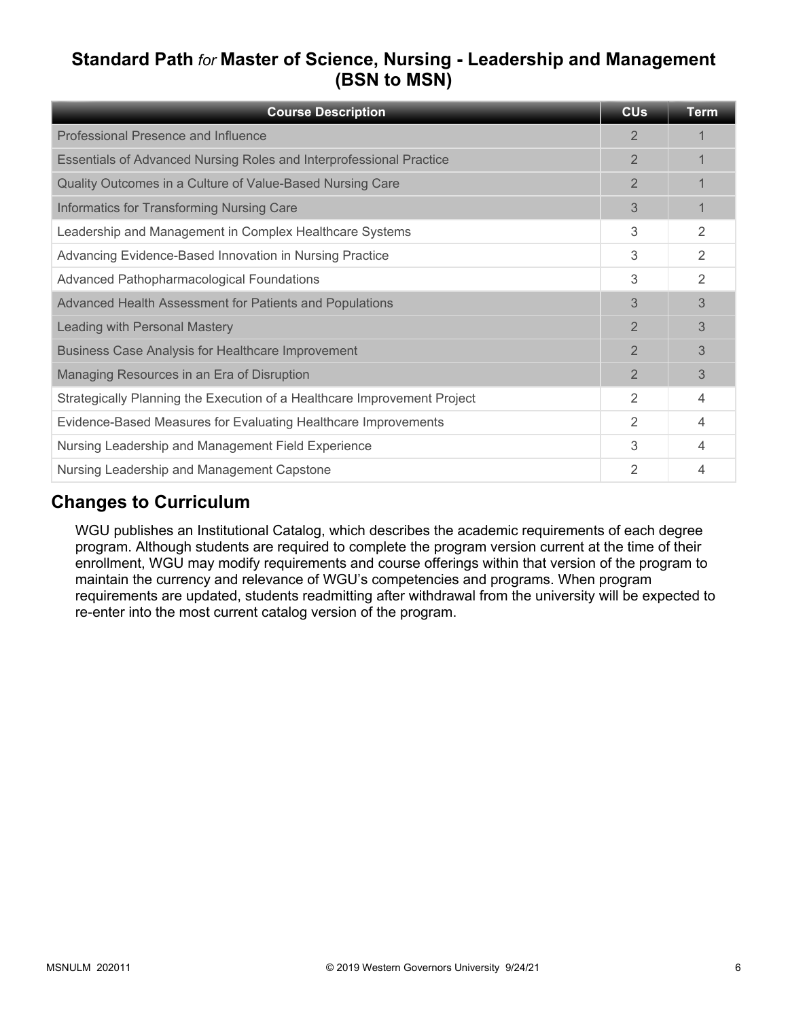# **Standard Path** *for* **Master of Science, Nursing - Leadership and Management (BSN to MSN)**

| <b>Course Description</b>                                                | <b>CU<sub>s</sub></b> | <b>Term</b> |
|--------------------------------------------------------------------------|-----------------------|-------------|
| Professional Presence and Influence                                      | 2                     |             |
| Essentials of Advanced Nursing Roles and Interprofessional Practice      | $\overline{2}$        |             |
| Quality Outcomes in a Culture of Value-Based Nursing Care                | $\overline{2}$        |             |
| Informatics for Transforming Nursing Care                                | 3                     |             |
| Leadership and Management in Complex Healthcare Systems                  | 3                     | 2           |
| Advancing Evidence-Based Innovation in Nursing Practice                  | 3                     | 2           |
| <b>Advanced Pathopharmacological Foundations</b>                         | 3                     | 2           |
| Advanced Health Assessment for Patients and Populations                  | 3                     | 3           |
| Leading with Personal Mastery                                            | $\overline{2}$        | 3           |
| <b>Business Case Analysis for Healthcare Improvement</b>                 | $\overline{2}$        | 3           |
| Managing Resources in an Era of Disruption                               | $\overline{2}$        | 3           |
| Strategically Planning the Execution of a Healthcare Improvement Project | $\mathfrak{D}$        | 4           |
| Evidence-Based Measures for Evaluating Healthcare Improvements           | 2                     | 4           |
| Nursing Leadership and Management Field Experience                       | 3                     | 4           |
| Nursing Leadership and Management Capstone                               | 2                     |             |

# **Changes to Curriculum**

WGU publishes an Institutional Catalog, which describes the academic requirements of each degree program. Although students are required to complete the program version current at the time of their enrollment, WGU may modify requirements and course offerings within that version of the program to maintain the currency and relevance of WGU's competencies and programs. When program requirements are updated, students readmitting after withdrawal from the university will be expected to re-enter into the most current catalog version of the program.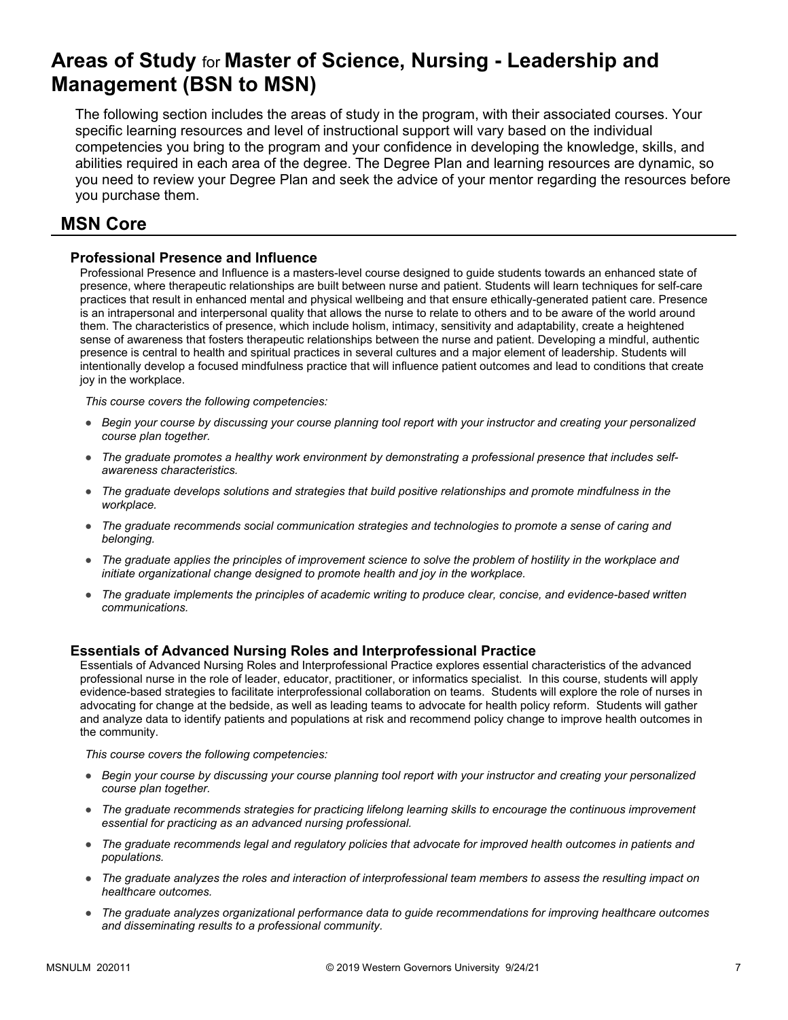# **Areas of Study** for **Master of Science, Nursing - Leadership and Management (BSN to MSN)**

The following section includes the areas of study in the program, with their associated courses. Your specific learning resources and level of instructional support will vary based on the individual competencies you bring to the program and your confidence in developing the knowledge, skills, and abilities required in each area of the degree. The Degree Plan and learning resources are dynamic, so you need to review your Degree Plan and seek the advice of your mentor regarding the resources before you purchase them.

## **MSN Core**

### **Professional Presence and Influence**

Professional Presence and Influence is a masters-level course designed to guide students towards an enhanced state of presence, where therapeutic relationships are built between nurse and patient. Students will learn techniques for self-care practices that result in enhanced mental and physical wellbeing and that ensure ethically-generated patient care. Presence is an intrapersonal and interpersonal quality that allows the nurse to relate to others and to be aware of the world around them. The characteristics of presence, which include holism, intimacy, sensitivity and adaptability, create a heightened sense of awareness that fosters therapeutic relationships between the nurse and patient. Developing a mindful, authentic presence is central to health and spiritual practices in several cultures and a major element of leadership. Students will intentionally develop a focused mindfulness practice that will influence patient outcomes and lead to conditions that create joy in the workplace.

*This course covers the following competencies:*

- *Begin your course by discussing your course planning tool report with your instructor and creating your personalized course plan together.*
- *The graduate promotes a healthy work environment by demonstrating a professional presence that includes selfawareness characteristics.*
- *The graduate develops solutions and strategies that build positive relationships and promote mindfulness in the workplace.*
- *The graduate recommends social communication strategies and technologies to promote a sense of caring and belonging.*
- *The graduate applies the principles of improvement science to solve the problem of hostility in the workplace and initiate organizational change designed to promote health and joy in the workplace.*
- *The graduate implements the principles of academic writing to produce clear, concise, and evidence-based written communications.*

### **Essentials of Advanced Nursing Roles and Interprofessional Practice**

Essentials of Advanced Nursing Roles and Interprofessional Practice explores essential characteristics of the advanced professional nurse in the role of leader, educator, practitioner, or informatics specialist. In this course, students will apply evidence-based strategies to facilitate interprofessional collaboration on teams. Students will explore the role of nurses in advocating for change at the bedside, as well as leading teams to advocate for health policy reform. Students will gather and analyze data to identify patients and populations at risk and recommend policy change to improve health outcomes in the community.

*This course covers the following competencies:*

- *Begin your course by discussing your course planning tool report with your instructor and creating your personalized course plan together.*
- *The graduate recommends strategies for practicing lifelong learning skills to encourage the continuous improvement essential for practicing as an advanced nursing professional.*
- *The graduate recommends legal and regulatory policies that advocate for improved health outcomes in patients and populations.*
- *The graduate analyzes the roles and interaction of interprofessional team members to assess the resulting impact on healthcare outcomes.*
- *The graduate analyzes organizational performance data to guide recommendations for improving healthcare outcomes and disseminating results to a professional community.*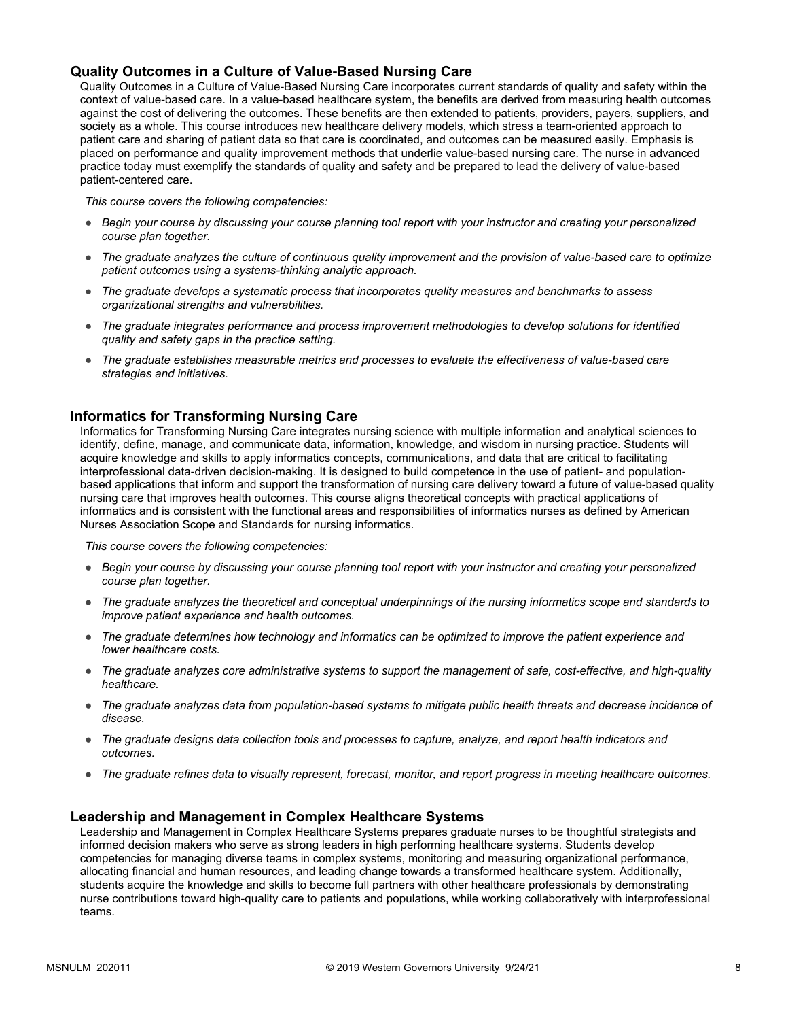### **Quality Outcomes in a Culture of Value-Based Nursing Care**

Quality Outcomes in a Culture of Value-Based Nursing Care incorporates current standards of quality and safety within the context of value-based care. In a value-based healthcare system, the benefits are derived from measuring health outcomes against the cost of delivering the outcomes. These benefits are then extended to patients, providers, payers, suppliers, and society as a whole. This course introduces new healthcare delivery models, which stress a team-oriented approach to patient care and sharing of patient data so that care is coordinated, and outcomes can be measured easily. Emphasis is placed on performance and quality improvement methods that underlie value-based nursing care. The nurse in advanced practice today must exemplify the standards of quality and safety and be prepared to lead the delivery of value-based patient-centered care.

*This course covers the following competencies:*

- *Begin your course by discussing your course planning tool report with your instructor and creating your personalized course plan together.*
- *The graduate analyzes the culture of continuous quality improvement and the provision of value-based care to optimize patient outcomes using a systems-thinking analytic approach.*
- *The graduate develops a systematic process that incorporates quality measures and benchmarks to assess organizational strengths and vulnerabilities.*
- *The graduate integrates performance and process improvement methodologies to develop solutions for identified quality and safety gaps in the practice setting.*
- *The graduate establishes measurable metrics and processes to evaluate the effectiveness of value-based care strategies and initiatives.*

### **Informatics for Transforming Nursing Care**

Informatics for Transforming Nursing Care integrates nursing science with multiple information and analytical sciences to identify, define, manage, and communicate data, information, knowledge, and wisdom in nursing practice. Students will acquire knowledge and skills to apply informatics concepts, communications, and data that are critical to facilitating interprofessional data-driven decision-making. It is designed to build competence in the use of patient- and populationbased applications that inform and support the transformation of nursing care delivery toward a future of value-based quality nursing care that improves health outcomes. This course aligns theoretical concepts with practical applications of informatics and is consistent with the functional areas and responsibilities of informatics nurses as defined by American Nurses Association Scope and Standards for nursing informatics.

*This course covers the following competencies:*

- *Begin your course by discussing your course planning tool report with your instructor and creating your personalized course plan together.*
- *The graduate analyzes the theoretical and conceptual underpinnings of the nursing informatics scope and standards to improve patient experience and health outcomes.*
- *The graduate determines how technology and informatics can be optimized to improve the patient experience and lower healthcare costs.*
- *The graduate analyzes core administrative systems to support the management of safe, cost-effective, and high-quality healthcare.*
- *The graduate analyzes data from population-based systems to mitigate public health threats and decrease incidence of disease.*
- *The graduate designs data collection tools and processes to capture, analyze, and report health indicators and outcomes.*
- *The graduate refines data to visually represent, forecast, monitor, and report progress in meeting healthcare outcomes.*

### **Leadership and Management in Complex Healthcare Systems**

Leadership and Management in Complex Healthcare Systems prepares graduate nurses to be thoughtful strategists and informed decision makers who serve as strong leaders in high performing healthcare systems. Students develop competencies for managing diverse teams in complex systems, monitoring and measuring organizational performance, allocating financial and human resources, and leading change towards a transformed healthcare system. Additionally, students acquire the knowledge and skills to become full partners with other healthcare professionals by demonstrating nurse contributions toward high-quality care to patients and populations, while working collaboratively with interprofessional teams.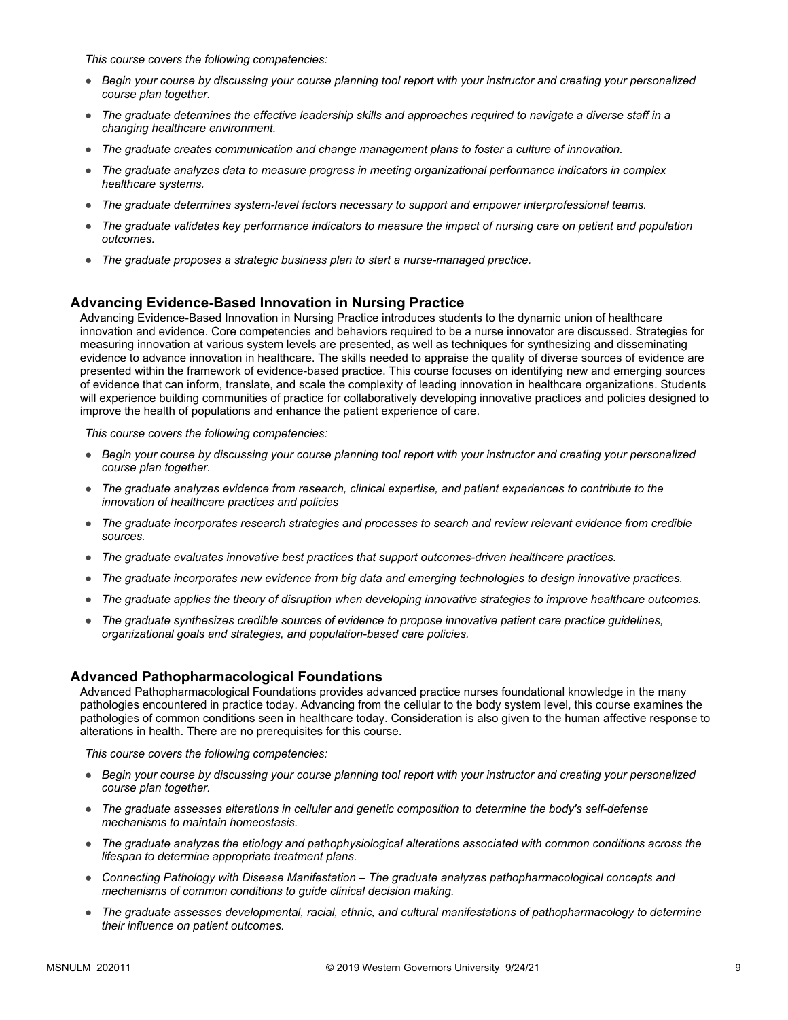*This course covers the following competencies:*

- *Begin your course by discussing your course planning tool report with your instructor and creating your personalized course plan together.*
- *The graduate determines the effective leadership skills and approaches required to navigate a diverse staff in a changing healthcare environment.*
- *The graduate creates communication and change management plans to foster a culture of innovation.*
- *The graduate analyzes data to measure progress in meeting organizational performance indicators in complex healthcare systems.*
- *The graduate determines system-level factors necessary to support and empower interprofessional teams.*
- *The graduate validates key performance indicators to measure the impact of nursing care on patient and population outcomes.*
- *The graduate proposes a strategic business plan to start a nurse-managed practice.*

#### **Advancing Evidence-Based Innovation in Nursing Practice**

Advancing Evidence-Based Innovation in Nursing Practice introduces students to the dynamic union of healthcare innovation and evidence. Core competencies and behaviors required to be a nurse innovator are discussed. Strategies for measuring innovation at various system levels are presented, as well as techniques for synthesizing and disseminating evidence to advance innovation in healthcare. The skills needed to appraise the quality of diverse sources of evidence are presented within the framework of evidence-based practice. This course focuses on identifying new and emerging sources of evidence that can inform, translate, and scale the complexity of leading innovation in healthcare organizations. Students will experience building communities of practice for collaboratively developing innovative practices and policies designed to improve the health of populations and enhance the patient experience of care.

*This course covers the following competencies:*

- *Begin your course by discussing your course planning tool report with your instructor and creating your personalized course plan together.*
- *The graduate analyzes evidence from research, clinical expertise, and patient experiences to contribute to the innovation of healthcare practices and policies*
- *The graduate incorporates research strategies and processes to search and review relevant evidence from credible sources.*
- *The graduate evaluates innovative best practices that support outcomes-driven healthcare practices.*
- *The graduate incorporates new evidence from big data and emerging technologies to design innovative practices.*
- *The graduate applies the theory of disruption when developing innovative strategies to improve healthcare outcomes.*
- *The graduate synthesizes credible sources of evidence to propose innovative patient care practice guidelines, organizational goals and strategies, and population-based care policies.*

#### **Advanced Pathopharmacological Foundations**

Advanced Pathopharmacological Foundations provides advanced practice nurses foundational knowledge in the many pathologies encountered in practice today. Advancing from the cellular to the body system level, this course examines the pathologies of common conditions seen in healthcare today. Consideration is also given to the human affective response to alterations in health. There are no prerequisites for this course.

*This course covers the following competencies:*

- *Begin your course by discussing your course planning tool report with your instructor and creating your personalized course plan together.*
- *The graduate assesses alterations in cellular and genetic composition to determine the body's self-defense mechanisms to maintain homeostasis.*
- *The graduate analyzes the etiology and pathophysiological alterations associated with common conditions across the lifespan to determine appropriate treatment plans.*
- *Connecting Pathology with Disease Manifestation The graduate analyzes pathopharmacological concepts and mechanisms of common conditions to guide clinical decision making.*
- *The graduate assesses developmental, racial, ethnic, and cultural manifestations of pathopharmacology to determine their influence on patient outcomes.*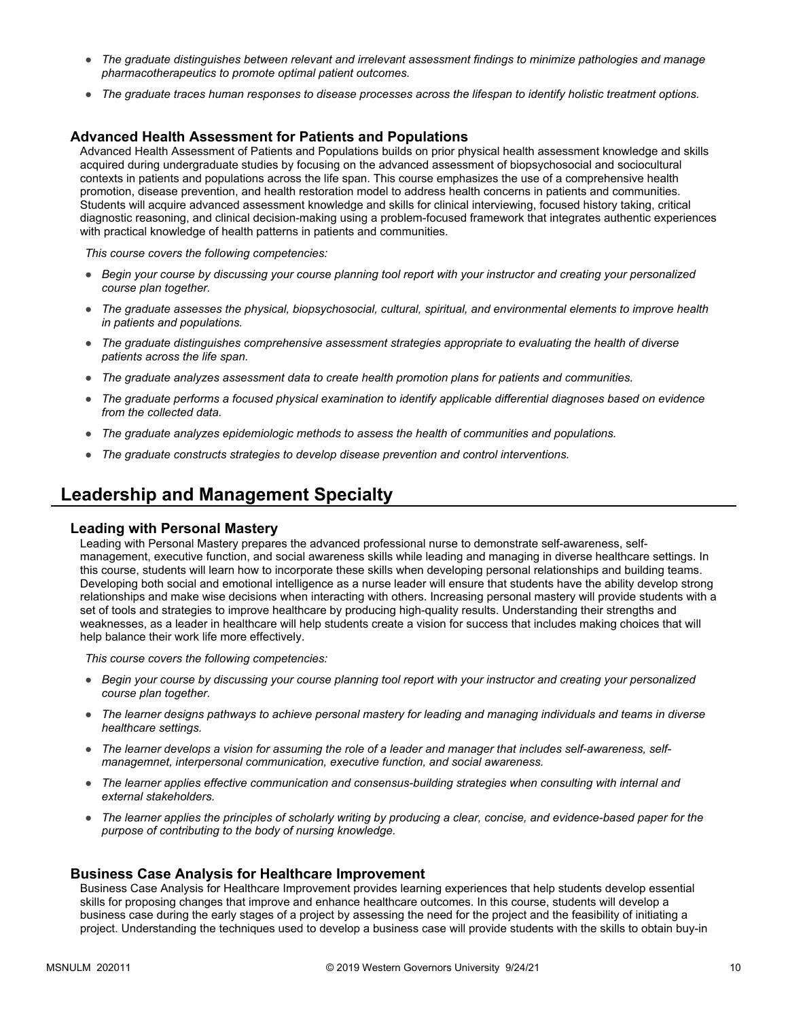- *The graduate distinguishes between relevant and irrelevant assessment findings to minimize pathologies and manage pharmacotherapeutics to promote optimal patient outcomes.*
- *The graduate traces human responses to disease processes across the lifespan to identify holistic treatment options.*

### **Advanced Health Assessment for Patients and Populations**

Advanced Health Assessment of Patients and Populations builds on prior physical health assessment knowledge and skills acquired during undergraduate studies by focusing on the advanced assessment of biopsychosocial and sociocultural contexts in patients and populations across the life span. This course emphasizes the use of a comprehensive health promotion, disease prevention, and health restoration model to address health concerns in patients and communities. Students will acquire advanced assessment knowledge and skills for clinical interviewing, focused history taking, critical diagnostic reasoning, and clinical decision-making using a problem-focused framework that integrates authentic experiences with practical knowledge of health patterns in patients and communities.

*This course covers the following competencies:*

- *Begin your course by discussing your course planning tool report with your instructor and creating your personalized course plan together.*
- *The graduate assesses the physical, biopsychosocial, cultural, spiritual, and environmental elements to improve health in patients and populations.*
- *The graduate distinguishes comprehensive assessment strategies appropriate to evaluating the health of diverse patients across the life span.*
- *The graduate analyzes assessment data to create health promotion plans for patients and communities.*
- *The graduate performs a focused physical examination to identify applicable differential diagnoses based on evidence from the collected data.*
- *The graduate analyzes epidemiologic methods to assess the health of communities and populations.*
- *The graduate constructs strategies to develop disease prevention and control interventions.*

### **Leadership and Management Specialty**

#### **Leading with Personal Mastery**

Leading with Personal Mastery prepares the advanced professional nurse to demonstrate self-awareness, selfmanagement, executive function, and social awareness skills while leading and managing in diverse healthcare settings. In this course, students will learn how to incorporate these skills when developing personal relationships and building teams. Developing both social and emotional intelligence as a nurse leader will ensure that students have the ability develop strong relationships and make wise decisions when interacting with others. Increasing personal mastery will provide students with a set of tools and strategies to improve healthcare by producing high-quality results. Understanding their strengths and weaknesses, as a leader in healthcare will help students create a vision for success that includes making choices that will help balance their work life more effectively.

*This course covers the following competencies:*

- *Begin your course by discussing your course planning tool report with your instructor and creating your personalized course plan together.*
- *The learner designs pathways to achieve personal mastery for leading and managing individuals and teams in diverse healthcare settings.*
- *The learner develops a vision for assuming the role of a leader and manager that includes self-awareness, selfmanagemnet, interpersonal communication, executive function, and social awareness.*
- *The learner applies effective communication and consensus-building strategies when consulting with internal and external stakeholders.*
- *The learner applies the principles of scholarly writing by producing a clear, concise, and evidence-based paper for the purpose of contributing to the body of nursing knowledge.*

#### **Business Case Analysis for Healthcare Improvement**

Business Case Analysis for Healthcare Improvement provides learning experiences that help students develop essential skills for proposing changes that improve and enhance healthcare outcomes. In this course, students will develop a business case during the early stages of a project by assessing the need for the project and the feasibility of initiating a project. Understanding the techniques used to develop a business case will provide students with the skills to obtain buy-in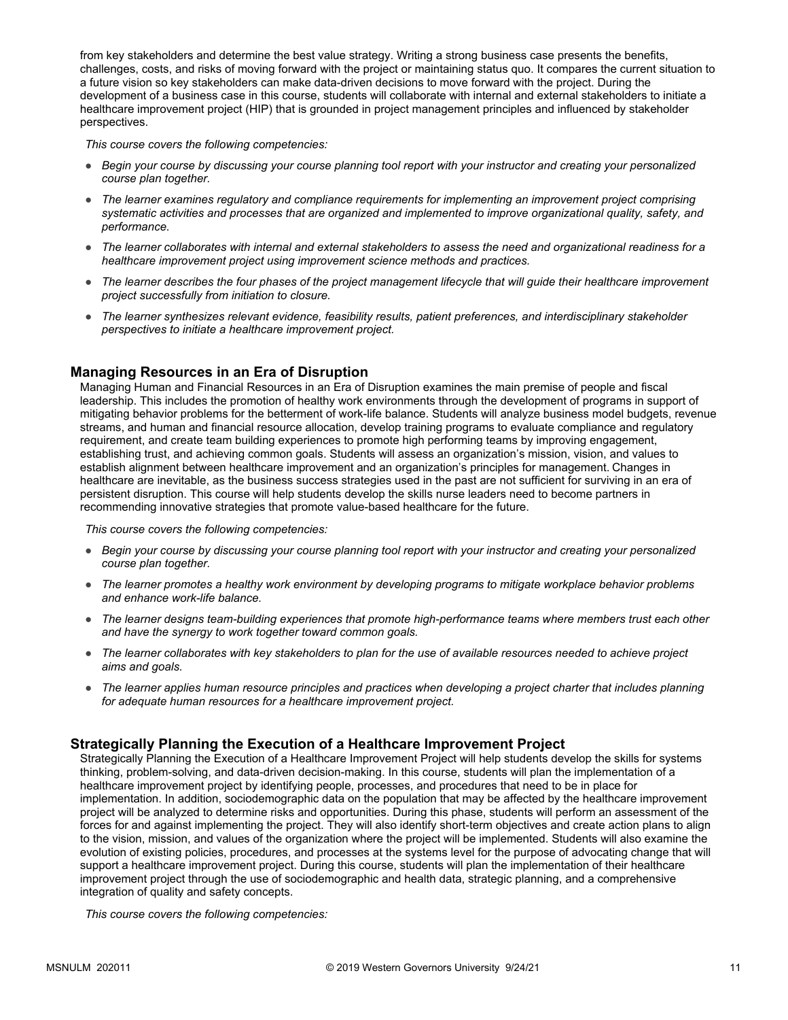from key stakeholders and determine the best value strategy. Writing a strong business case presents the benefits, challenges, costs, and risks of moving forward with the project or maintaining status quo. It compares the current situation to a future vision so key stakeholders can make data-driven decisions to move forward with the project. During the development of a business case in this course, students will collaborate with internal and external stakeholders to initiate a healthcare improvement project (HIP) that is grounded in project management principles and influenced by stakeholder perspectives.

*This course covers the following competencies:*

- *Begin your course by discussing your course planning tool report with your instructor and creating your personalized course plan together.*
- *The learner examines regulatory and compliance requirements for implementing an improvement project comprising systematic activities and processes that are organized and implemented to improve organizational quality, safety, and performance.*
- *The learner collaborates with internal and external stakeholders to assess the need and organizational readiness for a healthcare improvement project using improvement science methods and practices.*
- *The learner describes the four phases of the project management lifecycle that will guide their healthcare improvement project successfully from initiation to closure.*
- *The learner synthesizes relevant evidence, feasibility results, patient preferences, and interdisciplinary stakeholder perspectives to initiate a healthcare improvement project.*

### **Managing Resources in an Era of Disruption**

Managing Human and Financial Resources in an Era of Disruption examines the main premise of people and fiscal leadership. This includes the promotion of healthy work environments through the development of programs in support of mitigating behavior problems for the betterment of work-life balance. Students will analyze business model budgets, revenue streams, and human and financial resource allocation, develop training programs to evaluate compliance and regulatory requirement, and create team building experiences to promote high performing teams by improving engagement, establishing trust, and achieving common goals. Students will assess an organization's mission, vision, and values to establish alignment between healthcare improvement and an organization's principles for management. Changes in healthcare are inevitable, as the business success strategies used in the past are not sufficient for surviving in an era of persistent disruption. This course will help students develop the skills nurse leaders need to become partners in recommending innovative strategies that promote value-based healthcare for the future.

*This course covers the following competencies:*

- *Begin your course by discussing your course planning tool report with your instructor and creating your personalized course plan together.*
- *The learner promotes a healthy work environment by developing programs to mitigate workplace behavior problems and enhance work-life balance.*
- *The learner designs team-building experiences that promote high-performance teams where members trust each other and have the synergy to work together toward common goals.*
- *The learner collaborates with key stakeholders to plan for the use of available resources needed to achieve project aims and goals.*
- *The learner applies human resource principles and practices when developing a project charter that includes planning for adequate human resources for a healthcare improvement project.*

### **Strategically Planning the Execution of a Healthcare Improvement Project**

Strategically Planning the Execution of a Healthcare Improvement Project will help students develop the skills for systems thinking, problem-solving, and data-driven decision-making. In this course, students will plan the implementation of a healthcare improvement project by identifying people, processes, and procedures that need to be in place for implementation. In addition, sociodemographic data on the population that may be affected by the healthcare improvement project will be analyzed to determine risks and opportunities. During this phase, students will perform an assessment of the forces for and against implementing the project. They will also identify short-term objectives and create action plans to align to the vision, mission, and values of the organization where the project will be implemented. Students will also examine the evolution of existing policies, procedures, and processes at the systems level for the purpose of advocating change that will support a healthcare improvement project. During this course, students will plan the implementation of their healthcare improvement project through the use of sociodemographic and health data, strategic planning, and a comprehensive integration of quality and safety concepts.

*This course covers the following competencies:*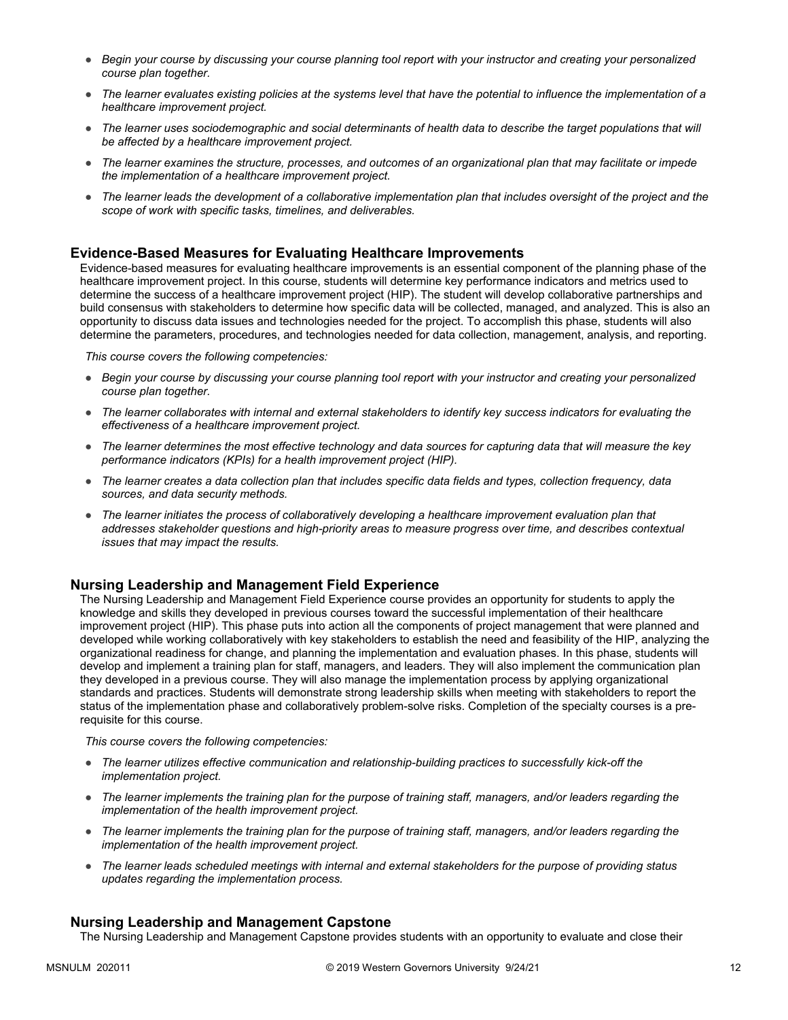- *Begin your course by discussing your course planning tool report with your instructor and creating your personalized course plan together.*
- *The learner evaluates existing policies at the systems level that have the potential to influence the implementation of a healthcare improvement project.*
- The learner uses sociodemographic and social determinants of health data to describe the target populations that will *be affected by a healthcare improvement project.*
- *The learner examines the structure, processes, and outcomes of an organizational plan that may facilitate or impede the implementation of a healthcare improvement project.*
- *The learner leads the development of a collaborative implementation plan that includes oversight of the project and the scope of work with specific tasks, timelines, and deliverables.*

### **Evidence-Based Measures for Evaluating Healthcare Improvements**

Evidence-based measures for evaluating healthcare improvements is an essential component of the planning phase of the healthcare improvement project. In this course, students will determine key performance indicators and metrics used to determine the success of a healthcare improvement project (HIP). The student will develop collaborative partnerships and build consensus with stakeholders to determine how specific data will be collected, managed, and analyzed. This is also an opportunity to discuss data issues and technologies needed for the project. To accomplish this phase, students will also determine the parameters, procedures, and technologies needed for data collection, management, analysis, and reporting.

*This course covers the following competencies:*

- *Begin your course by discussing your course planning tool report with your instructor and creating your personalized course plan together.*
- *The learner collaborates with internal and external stakeholders to identify key success indicators for evaluating the effectiveness of a healthcare improvement project.*
- *The learner determines the most effective technology and data sources for capturing data that will measure the key performance indicators (KPIs) for a health improvement project (HIP).*
- *The learner creates a data collection plan that includes specific data fields and types, collection frequency, data sources, and data security methods.*
- *The learner initiates the process of collaboratively developing a healthcare improvement evaluation plan that addresses stakeholder questions and high-priority areas to measure progress over time, and describes contextual issues that may impact the results.*

### **Nursing Leadership and Management Field Experience**

The Nursing Leadership and Management Field Experience course provides an opportunity for students to apply the knowledge and skills they developed in previous courses toward the successful implementation of their healthcare improvement project (HIP). This phase puts into action all the components of project management that were planned and developed while working collaboratively with key stakeholders to establish the need and feasibility of the HIP, analyzing the organizational readiness for change, and planning the implementation and evaluation phases. In this phase, students will develop and implement a training plan for staff, managers, and leaders. They will also implement the communication plan they developed in a previous course. They will also manage the implementation process by applying organizational standards and practices. Students will demonstrate strong leadership skills when meeting with stakeholders to report the status of the implementation phase and collaboratively problem-solve risks. Completion of the specialty courses is a prerequisite for this course.

*This course covers the following competencies:*

- *The learner utilizes effective communication and relationship-building practices to successfully kick-off the implementation project.*
- *The learner implements the training plan for the purpose of training staff, managers, and/or leaders regarding the implementation of the health improvement project.*
- *The learner implements the training plan for the purpose of training staff, managers, and/or leaders regarding the implementation of the health improvement project.*
- *The learner leads scheduled meetings with internal and external stakeholders for the purpose of providing status updates regarding the implementation process.*

#### **Nursing Leadership and Management Capstone**

The Nursing Leadership and Management Capstone provides students with an opportunity to evaluate and close their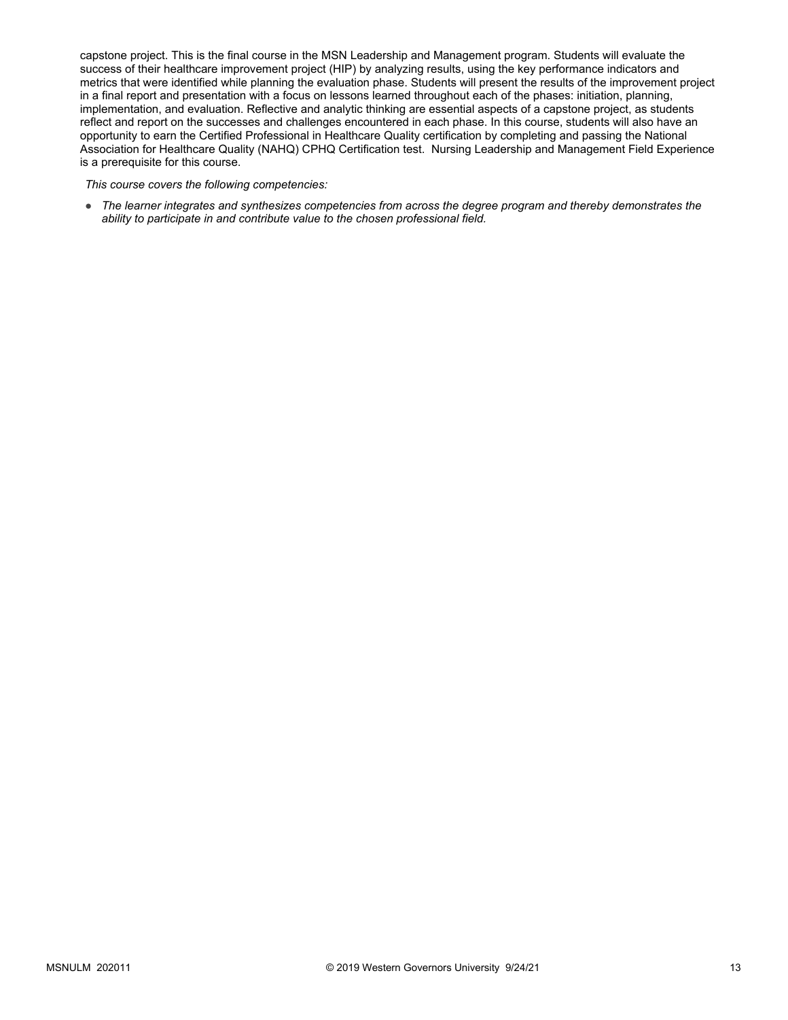capstone project. This is the final course in the MSN Leadership and Management program. Students will evaluate the success of their healthcare improvement project (HIP) by analyzing results, using the key performance indicators and metrics that were identified while planning the evaluation phase. Students will present the results of the improvement project in a final report and presentation with a focus on lessons learned throughout each of the phases: initiation, planning, implementation, and evaluation. Reflective and analytic thinking are essential aspects of a capstone project, as students reflect and report on the successes and challenges encountered in each phase. In this course, students will also have an opportunity to earn the Certified Professional in Healthcare Quality certification by completing and passing the National Association for Healthcare Quality (NAHQ) CPHQ Certification test. Nursing Leadership and Management Field Experience is a prerequisite for this course.

*This course covers the following competencies:*

● *The learner integrates and synthesizes competencies from across the degree program and thereby demonstrates the ability to participate in and contribute value to the chosen professional field.*